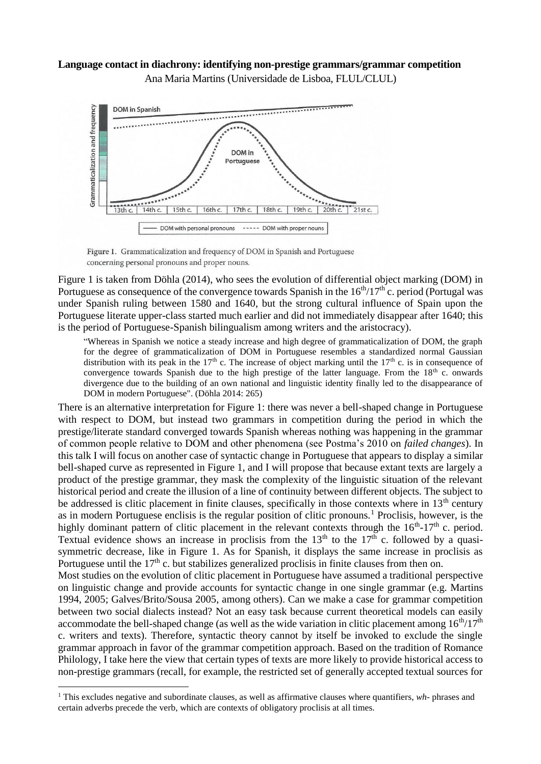## **Language contact in diachrony: identifying non-prestige grammars/grammar competition** Ana Maria Martins (Universidade de Lisboa, FLUL/CLUL)



Figure 1. Grammaticalization and frequency of DOM in Spanish and Portuguese concerning personal pronouns and proper nouns.

Figure 1 is taken from Döhla (2014), who sees the evolution of differential object marking (DOM) in Portuguese as consequence of the convergence towards Spanish in the  $16<sup>th</sup>/17<sup>th</sup>$  c. period (Portugal was under Spanish ruling between 1580 and 1640, but the strong cultural influence of Spain upon the Portuguese literate upper-class started much earlier and did not immediately disappear after 1640; this is the period of Portuguese-Spanish bilingualism among writers and the aristocracy).

"Whereas in Spanish we notice a steady increase and high degree of grammaticalization of DOM, the graph for the degree of grammaticalization of DOM in Portuguese resembles a standardized normal Gaussian distribution with its peak in the 17<sup>th</sup> c. The increase of object marking until the 17<sup>th</sup> c. is in consequence of convergence towards Spanish due to the high prestige of the latter language. From the  $18<sup>th</sup>$  c. onwards divergence due to the building of an own national and linguistic identity finally led to the disappearance of DOM in modern Portuguese". (Döhla 2014: 265)

There is an alternative interpretation for Figure 1: there was never a bell-shaped change in Portuguese with respect to DOM, but instead two grammars in competition during the period in which the prestige/literate standard converged towards Spanish whereas nothing was happening in the grammar of common people relative to DOM and other phenomena (see Postma's 2010 on *failed changes*). In this talk I will focus on another case of syntactic change in Portuguese that appears to display a similar bell-shaped curve as represented in Figure 1, and I will propose that because extant texts are largely a product of the prestige grammar, they mask the complexity of the linguistic situation of the relevant historical period and create the illusion of a line of continuity between different objects. The subject to be addressed is clitic placement in finite clauses, specifically in those contexts where in  $13<sup>th</sup>$  century as in modern Portuguese enclisis is the regular position of clitic pronouns.<sup>1</sup> Proclisis, however, is the highly dominant pattern of clitic placement in the relevant contexts through the  $16<sup>th</sup>$ -17<sup>th</sup> c. period. Textual evidence shows an increase in proclisis from the  $13<sup>th</sup>$  to the  $17<sup>th</sup>$  c. followed by a quasisymmetric decrease, like in Figure 1. As for Spanish, it displays the same increase in proclisis as Portuguese until the  $17<sup>th</sup>$  c. but stabilizes generalized proclisis in finite clauses from then on.

Most studies on the evolution of clitic placement in Portuguese have assumed a traditional perspective on linguistic change and provide accounts for syntactic change in one single grammar (e.g. Martins 1994, 2005; Galves/Brito/Sousa 2005, among others). Can we make a case for grammar competition between two social dialects instead? Not an easy task because current theoretical models can easily accommodate the bell-shaped change (as well as the wide variation in clitic placement among  $16<sup>th</sup>/17<sup>th</sup>$ c. writers and texts). Therefore, syntactic theory cannot by itself be invoked to exclude the single grammar approach in favor of the grammar competition approach. Based on the tradition of Romance Philology, I take here the view that certain types of texts are more likely to provide historical access to non-prestige grammars (recall, for example, the restricted set of generally accepted textual sources for

 $\overline{a}$ 

<sup>1</sup> This excludes negative and subordinate clauses, as well as affirmative clauses where quantifiers, *wh*- phrases and certain adverbs precede the verb, which are contexts of obligatory proclisis at all times.